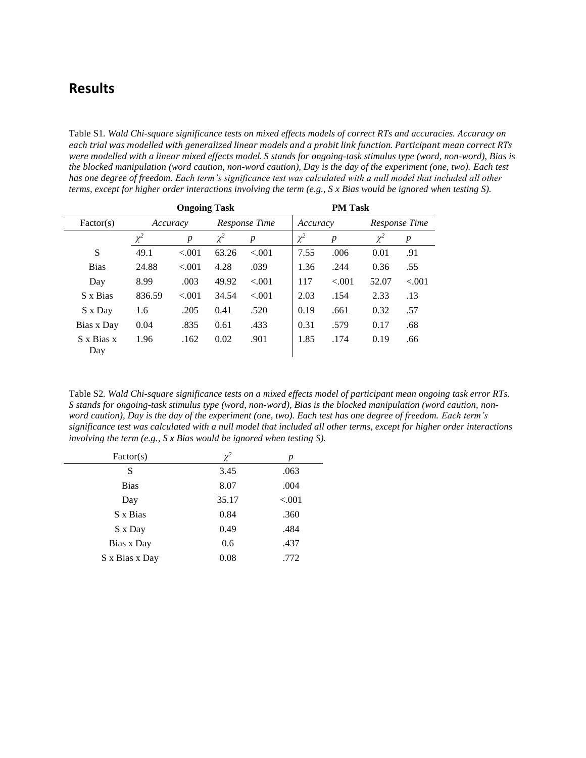## **Results**

Table S1*. Wald Chi-square significance tests on mixed effects models of correct RTs and accuracies. Accuracy on each trial was modelled with generalized linear models and a probit link function. Participant mean correct RTs were modelled with a linear mixed effects model. S stands for ongoing-task stimulus type (word, non-word), Bias is the blocked manipulation (word caution, non-word caution), Day is the day of the experiment (one, two). Each test has one degree of freedom. Each term's significance test was calculated with a null model that included all other terms, except for higher order interactions involving the term (e.g., S x Bias would be ignored when testing S).*

|                   | <b>Ongoing Task</b> |                  |               |                  | <b>PM Task</b> |                  |          |                  |  |
|-------------------|---------------------|------------------|---------------|------------------|----------------|------------------|----------|------------------|--|
| Factor(s)         | Accuracy            |                  | Response Time |                  |                | Accuracy         |          | Response Time    |  |
|                   | $\chi^2$            | $\boldsymbol{p}$ | $\chi^2$      | $\boldsymbol{p}$ | $\chi^2$       | $\boldsymbol{p}$ | $\chi^2$ | $\boldsymbol{p}$ |  |
| S                 | 49.1                | < 0.01           | 63.26         | < 0.01           | 7.55           | .006             | 0.01     | .91              |  |
| <b>Bias</b>       | 24.88               | < 0.01           | 4.28          | .039             | 1.36           | .244             | 0.36     | .55              |  |
| Day               | 8.99                | .003             | 49.92         | < 0.01           | 117            | < 0.01           | 52.07    | $-.001$          |  |
| S x Bias          | 836.59              | < 0.01           | 34.54         | < 0.01           | 2.03           | .154             | 2.33     | .13              |  |
| S x Day           | 1.6                 | .205             | 0.41          | .520             | 0.19           | .661             | 0.32     | .57              |  |
| Bias x Day        | 0.04                | .835             | 0.61          | .433             | 0.31           | .579             | 0.17     | .68              |  |
| S x Bias x<br>Day | 1.96                | .162             | 0.02          | .901             | 1.85           | .174             | 0.19     | .66              |  |

Table S2*. Wald Chi-square significance tests on a mixed effects model of participant mean ongoing task error RTs. S stands for ongoing-task stimulus type (word, non-word), Bias is the blocked manipulation (word caution, nonword caution), Day is the day of the experiment (one, two). Each test has one degree of freedom. Each term's significance test was calculated with a null model that included all other terms, except for higher order interactions involving the term (e.g., S x Bias would be ignored when testing S).*

| Factor(s)      | $\chi^2$ | р      |
|----------------|----------|--------|
| S              | 3.45     | .063   |
| <b>Bias</b>    | 8.07     | .004   |
| Day            | 35.17    | < .001 |
| S x Bias       | 0.84     | .360   |
| S x Day        | 0.49     | .484   |
| Bias x Day     | 0.6      | .437   |
| S x Bias x Day | 0.08     | .772   |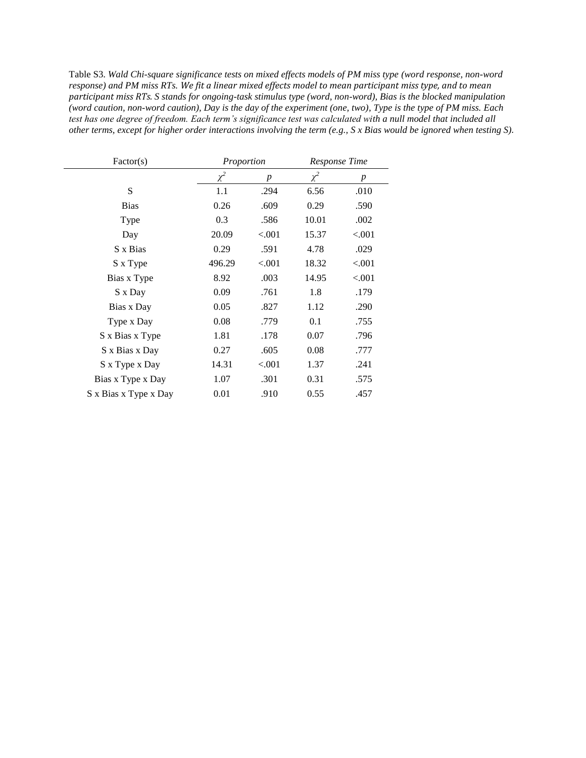Table S3. *Wald Chi-square significance tests on mixed effects models of PM miss type (word response, non-word response) and PM miss RTs. We fit a linear mixed effects model to mean participant miss type, and to mean participant miss RTs. S stands for ongoing-task stimulus type (word, non-word), Bias is the blocked manipulation (word caution, non-word caution), Day is the day of the experiment (one, two), Type is the type of PM miss. Each test has one degree of freedom. Each term's significance test was calculated with a null model that included all other terms, except for higher order interactions involving the term (e.g., S x Bias would be ignored when testing S).*

| Factor(s)             | Proportion |        | Response Time |                  |
|-----------------------|------------|--------|---------------|------------------|
|                       | $\chi^2$   | p      | $\chi^2$      | $\boldsymbol{p}$ |
| S                     | 1.1        | .294   | 6.56          | .010             |
| <b>Bias</b>           | 0.26       | .609   | 0.29          | .590             |
| Type                  | 0.3        | .586   | 10.01         | .002             |
| Day                   | 20.09      | < .001 | 15.37         | < .001           |
| S x Bias              | 0.29       | .591   | 4.78          | .029             |
| S x Type              | 496.29     | < .001 | 18.32         | ${<}001$         |
| Bias x Type           | 8.92       | .003   | 14.95         | < .001           |
| S x Day               | 0.09       | .761   | 1.8           | .179             |
| Bias x Day            | 0.05       | .827   | 1.12          | .290             |
| Type x Day            | 0.08       | .779   | 0.1           | .755             |
| S x Bias x Type       | 1.81       | .178   | 0.07          | .796             |
| S x Bias x Day        | 0.27       | .605   | 0.08          | .777             |
| S x Type x Day        | 14.31      | < .001 | 1.37          | .241             |
| Bias x Type x Day     | 1.07       | .301   | 0.31          | .575             |
| S x Bias x Type x Day | 0.01       | .910   | 0.55          | .457             |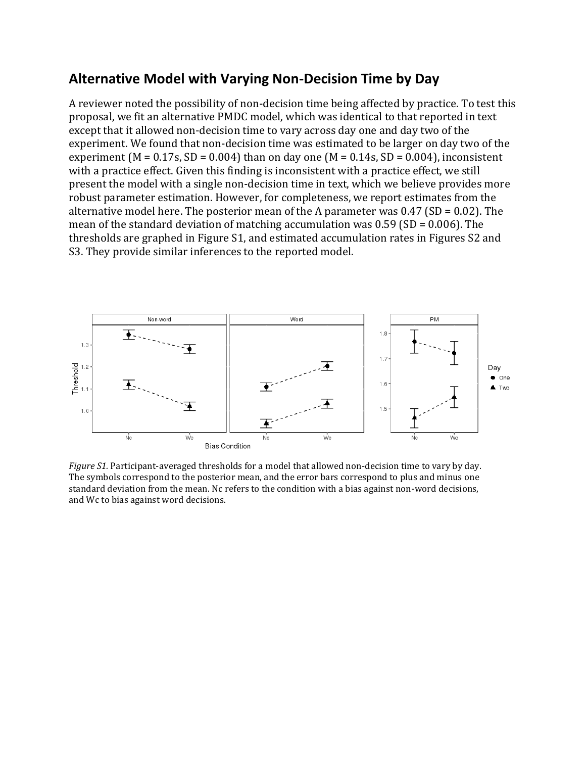## **Alternative Model with Varying Non-Decision Time by Day**

A reviewer noted the possibility of non-decision time being affected by practice. To test this proposal, we fit an alternative PMDC model, which was identical to that reported in text except that it allowed non-decision time to vary across day one and day two of the experiment. We found that non-decision time was estimated to be larger on day two of the experiment ( $M = 0.17$ s, SD = 0.004) than on day one ( $M = 0.14$ s, SD = 0.004), inconsistent with a practice effect. Given this finding is inconsistent with a practice effect, we still present the model with a single non-decision time in text, which we believe provides more robust parameter estimation. However, for completeness, we report estimates from the alternative model here. The posterior mean of the A parameter was  $0.47$  (SD =  $0.02$ ). The mean of the standard deviation of matching accumulation was 0.59 (SD = 0.006). The thresholds are graphed in Figure S1, and estimated accumulation rates in Figures S2 and S3. They provide similar inferences to the reported model.



*Figure S1.* Participant-averaged thresholds for a model that allowed non-decision time to vary by day. The symbols correspond to the posterior mean, and the error bars correspond to plus and minus one standard deviation from the mean. Nc refers to the condition with a bias against non-word decisions, and Wc to bias against word decisions.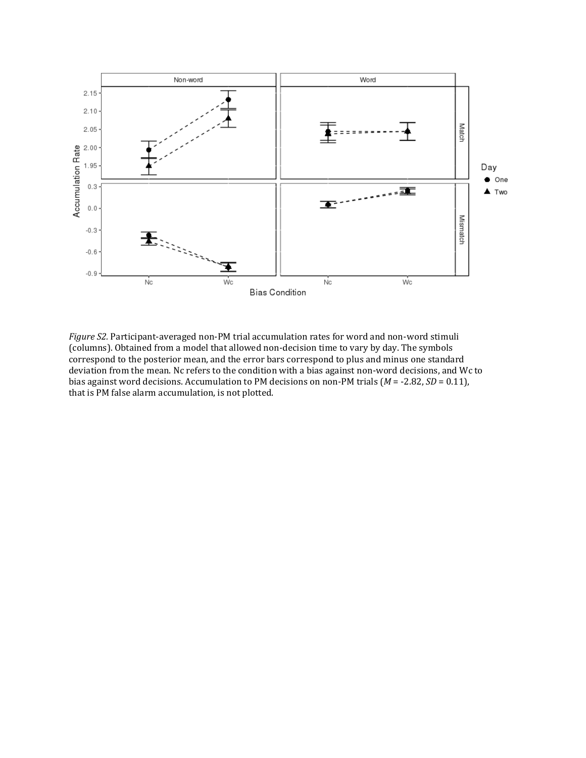

*Figure S2.* Participant-averaged non-PM trial accumulation rates for word and non-word stimuli (columns). Obtained from a model that allowed non-decision time to vary by day. The symbols correspond to the posterior mean, and the error bars correspond to plus and minus one standard deviation from the mean. Nc refers to the condition with a bias against non-word decisions, and Wc to bias against word decisions. Accumulation to PM decisions on non-PM trials (*M* = -2.82, *SD* = 0.11), that is PM false alarm accumulation, is not plotted.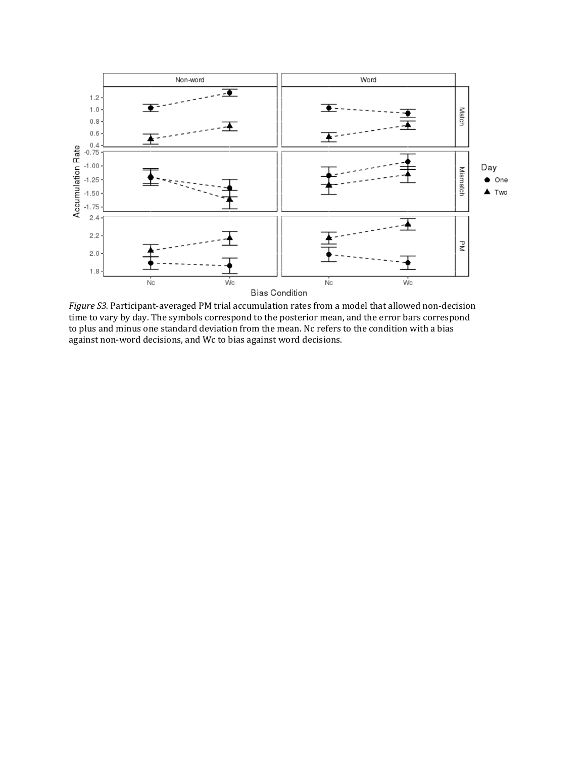

*Figure S3.* Participant-averaged PM trial accumulation rates from a model that allowed non-decision time to vary by day. The symbols correspond to the posterior mean, and the error bars correspond to plus and minus one standard deviation from the mean. Nc refers to the condition with a bias against non-word decisions, and Wc to bias against word decisions.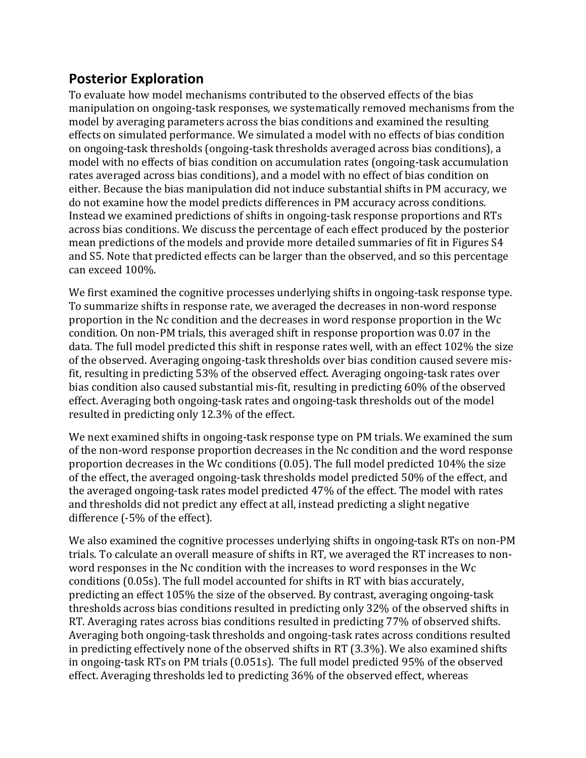## **Posterior Exploration**

To evaluate how model mechanisms contributed to the observed effects of the bias manipulation on ongoing-task responses, we systematically removed mechanisms from the model by averaging parameters across the bias conditions and examined the resulting effects on simulated performance. We simulated a model with no effects of bias condition on ongoing-task thresholds (ongoing-task thresholds averaged across bias conditions), a model with no effects of bias condition on accumulation rates (ongoing-task accumulation rates averaged across bias conditions), and a model with no effect of bias condition on either. Because the bias manipulation did not induce substantial shifts in PM accuracy, we do not examine how the model predicts differences in PM accuracy across conditions. Instead we examined predictions of shifts in ongoing-task response proportions and RTs across bias conditions. We discuss the percentage of each effect produced by the posterior mean predictions of the models and provide more detailed summaries of fit in Figures S4 and S5. Note that predicted effects can be larger than the observed, and so this percentage can exceed 100%.

We first examined the cognitive processes underlying shifts in ongoing-task response type. To summarize shifts in response rate, we averaged the decreases in non-word response proportion in the Nc condition and the decreases in word response proportion in the Wc condition. On non-PM trials, this averaged shift in response proportion was 0.07 in the data. The full model predicted this shift in response rates well, with an effect 102% the size of the observed. Averaging ongoing-task thresholds over bias condition caused severe misfit, resulting in predicting 53% of the observed effect. Averaging ongoing-task rates over bias condition also caused substantial mis-fit, resulting in predicting 60% of the observed effect. Averaging both ongoing-task rates and ongoing-task thresholds out of the model resulted in predicting only 12.3% of the effect.

We next examined shifts in ongoing-task response type on PM trials. We examined the sum of the non-word response proportion decreases in the Nc condition and the word response proportion decreases in the Wc conditions (0.05). The full model predicted 104% the size of the effect, the averaged ongoing-task thresholds model predicted 50% of the effect, and the averaged ongoing-task rates model predicted 47% of the effect. The model with rates and thresholds did not predict any effect at all, instead predicting a slight negative difference (-5% of the effect).

We also examined the cognitive processes underlying shifts in ongoing-task RTs on non-PM trials. To calculate an overall measure of shifts in RT, we averaged the RT increases to nonword responses in the Nc condition with the increases to word responses in the Wc conditions (0.05s). The full model accounted for shifts in RT with bias accurately, predicting an effect 105% the size of the observed. By contrast, averaging ongoing-task thresholds across bias conditions resulted in predicting only 32% of the observed shifts in RT. Averaging rates across bias conditions resulted in predicting 77% of observed shifts. Averaging both ongoing-task thresholds and ongoing-task rates across conditions resulted in predicting effectively none of the observed shifts in RT (3.3%). We also examined shifts in ongoing-task RTs on PM trials (0.051s). The full model predicted 95% of the observed effect. Averaging thresholds led to predicting 36% of the observed effect, whereas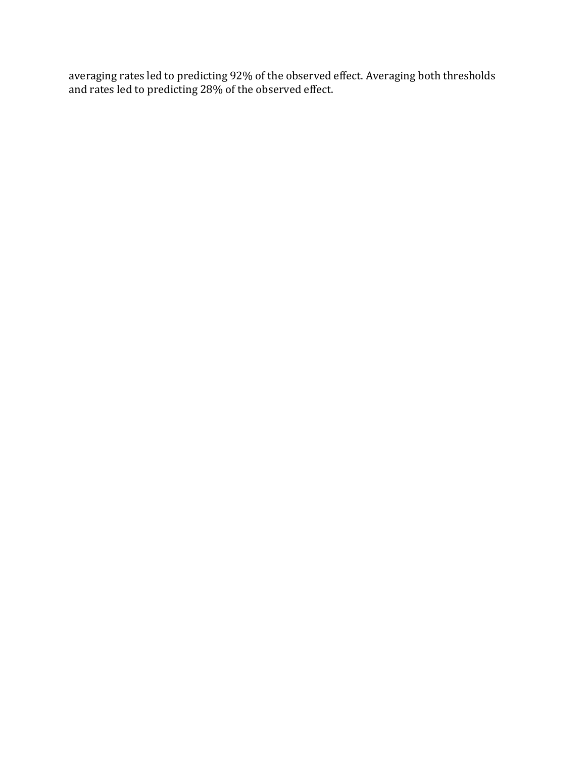averaging rates led to predicting 92% of the observed effect. Averaging both thresholds and rates led to predicting 28% of the observed effect.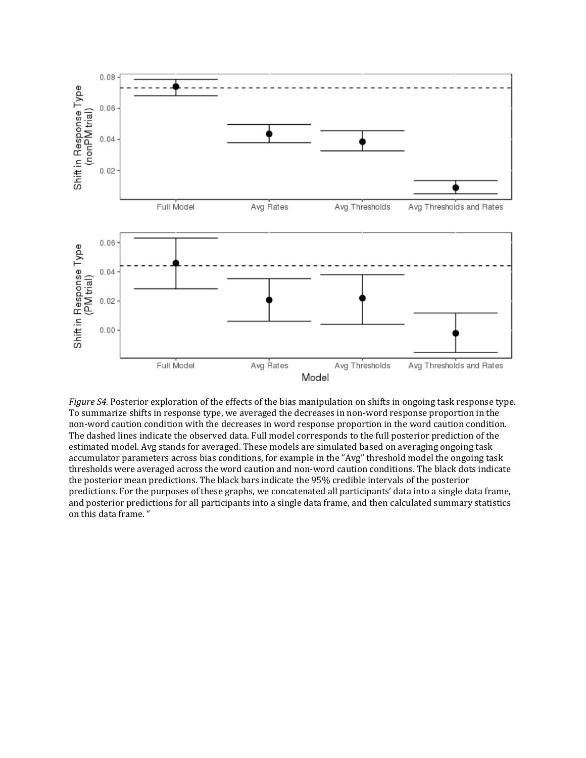

*Figure S4.* Posterior exploration of the effects of the bias manipulation on shifts in ongoing task response type. To summarize shifts in response type, we averaged the decreases in non-word response proportion in the non-word caution condition with the decreases in word response proportion in the word caution condition. The dashed lines indicate the observed data. Full model corresponds to the full posterior prediction of the estimated model. Avg stands for averaged. These models are simulated based on averaging ongoing task accumulator parameters across bias conditions, for example in the "Avg" threshold model the ongoing task thresholds were averaged across the word caution and non-word caution conditions. The black dots indicate the posterior mean predictions. The black bars indicate the 95% credible intervals of the posterior predictions. For the purposes of these graphs, we concatenated all participants' data into a single data frame, and posterior predictions for all participants into a single data frame, and then calculated summary statistics on this data frame. "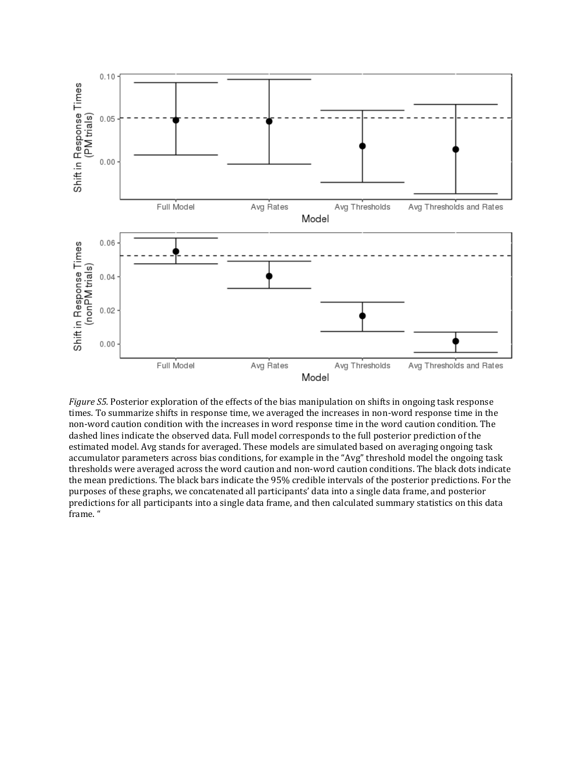

*Figure S5.* Posterior exploration of the effects of the bias manipulation on shifts in ongoing task response times. To summarize shifts in response time, we averaged the increases in non-word response time in the non-word caution condition with the increases in word response time in the word caution condition. The dashed lines indicate the observed data. Full model corresponds to the full posterior prediction of the estimated model. Avg stands for averaged. These models are simulated based on averaging ongoing task accumulator parameters across bias conditions, for example in the "Avg" threshold model the ongoing task thresholds were averaged across the word caution and non-word caution conditions. The black dots indicate the mean predictions. The black bars indicate the 95% credible intervals of the posterior predictions. For the purposes of these graphs, we concatenated all participants' data into a single data frame, and posterior predictions for all participants into a single data frame, and then calculated summary statistics on this data frame. "